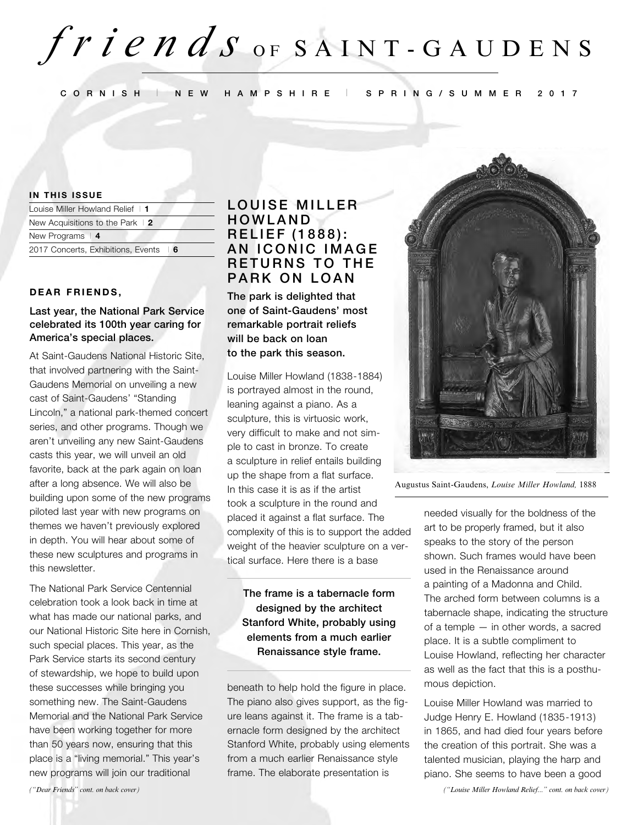# $f$ *r*  $i$  *e* $n$ *d* $s$  or  $s$   $A$   $I$   $N$   $T$  -  $G$   $A$   $U$   $D$   $E$   $N$   $S$

**C O R N I S H** I **N E W H A M P S H I R E** I **S P R I N G / S U M M E R 2 0 1 7**

#### **IN THIS ISSUE**

| Louise Miller Howland Relief   1             | $\overline{1}$ $\overline{0}$ |
|----------------------------------------------|-------------------------------|
| New Acquisitions to the Park $\vert 2 \vert$ | HO                            |
| New Programs $\vert$ 4                       | <b>RE</b>                     |
| 2017 Concerts, Exhibitions, Events   6       | ΑN                            |

#### **DEAR FRIENDS,**

### **Last year, the National Park Service celebrated its 100th year caring for America's special places.**

At Saint-Gaudens National Historic Site, that involved partnering with the Saint-Gaudens Memorial on unveiling a new cast of Saint-Gaudens' "Standing Lincoln," a national park-themed concert series, and other programs. Though we aren't unveiling any new Saint-Gaudens casts this year, we will unveil an old favorite, back at the park again on loan after a long absence. We will also be building upon some of the new programs piloted last year with new programs on themes we haven't previously explored in depth. You will hear about some of these new sculptures and programs in this newsletter.

The National Park Service Centennial celebration took a look back in time at what has made our national parks, and our National Historic Site here in Cornish, such special places. This year, as the Park Service starts its second century of stewardship, we hope to build upon these successes while bringing you something new. The Saint-Gaudens Memorial and the National Park Service have been working together for more than 50 years now, ensuring that this place is a "living memorial." This year's new programs will join our traditional

# **UISE MILLER WLAND LIEF (1888): ICONIC IMAGE RETURNS TO THE PARK ON LOAN**

**The park is delighted that one of Saint-Gaudens' most remarkable portrait reliefs will be back on loan to the park this season.** 

Louise Miller Howland (1838-1884) is portrayed almost in the round, leaning against a piano. As a sculpture, this is virtuosic work, very difficult to make and not simple to cast in bronze. To create a sculpture in relief entails building up the shape from a flat surface. In this case it is as if the artist took a sculpture in the round and placed it against a flat surface. The complexity of this is to support the added weight of the heavier sculpture on a vertical surface. Here there is a base

**The frame is a tabernacle form designed by the architect Stanford White, probably using elements from a much earlier Renaissance style frame.** 

beneath to help hold the figure in place. The piano also gives support, as the figure leans against it. The frame is a tabernacle form designed by the architect Stanford White, probably using elements from a much earlier Renaissance style frame. The elaborate presentation is



Augustus Saint-Gaudens, *Louise Miller Howland,* 1888

needed visually for the boldness of the art to be properly framed, but it also speaks to the story of the person shown. Such frames would have been used in the Renaissance around a painting of a Madonna and Child. The arched form between columns is a tabernacle shape, indicating the structure of a temple — in other words, a sacred place. It is a subtle compliment to Louise Howland, reflecting her character as well as the fact that this is a posthumous depiction.

Louise Miller Howland was married to Judge Henry E. Howland (1835-1913) in 1865, and had died four years before the creation of this portrait. She was a talented musician, playing the harp and piano. She seems to have been a good

*("Dear Friends" cont. on back cover) ("Louise Miller Howland Relief..." cont. on back cover)*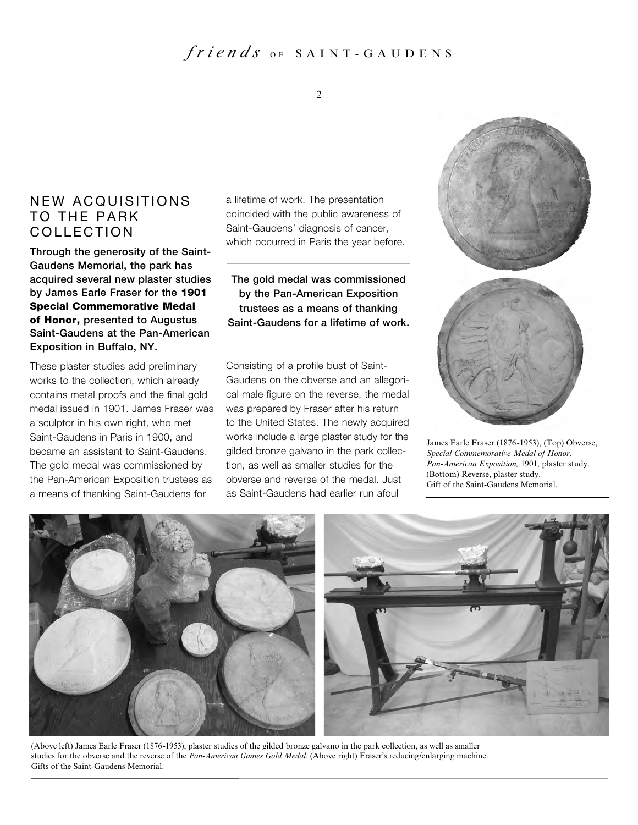# $frien$  *ds*  $o_F$  SAINT - GAUDENS

### 2

# NEW ACQUISITIONS TO THE PARK COLLECTION

**Through the generosity of the Saint-Gaudens Memorial, the park has acquired several new plaster studies by James Earle Fraser for the 1901 Special Commemorative Medal of Honor, presented to Augustus Saint-Gaudens at the Pan-American Exposition in Buffalo, NY.**

These plaster studies add preliminary works to the collection, which already contains metal proofs and the final gold medal issued in 1901. James Fraser was a sculptor in his own right, who met Saint-Gaudens in Paris in 1900, and became an assistant to Saint-Gaudens. The gold medal was commissioned by the Pan-American Exposition trustees as a means of thanking Saint-Gaudens for

a lifetime of work. The presentation coincided with the public awareness of Saint-Gaudens' diagnosis of cancer, which occurred in Paris the year before.

**The gold medal was commissioned by the Pan-American Exposition trustees as a means of thanking Saint-Gaudens for a lifetime of work.** 

Consisting of a profile bust of Saint-Gaudens on the obverse and an allegorical male figure on the reverse, the medal was prepared by Fraser after his return to the United States. The newly acquired works include a large plaster study for the gilded bronze galvano in the park collection, as well as smaller studies for the obverse and reverse of the medal. Just as Saint-Gaudens had earlier run afoul



James Earle Fraser (1876-1953), (Top) Obverse, *Special Commemorative Medal of Honor, Pan-American Exposition,* 1901, plaster study. (Bottom) Reverse, plaster study. Gift of the Saint-Gaudens Memorial.



(Above left) James Earle Fraser (1876-1953), plaster studies of the gilded bronze galvano in the park collection, as well as smaller studies for the obverse and the reverse of the *Pan-American Games Gold Medal*. (Above right) Fraser's reducing/enlarging machine. Gifts of the Saint-Gaudens Memorial.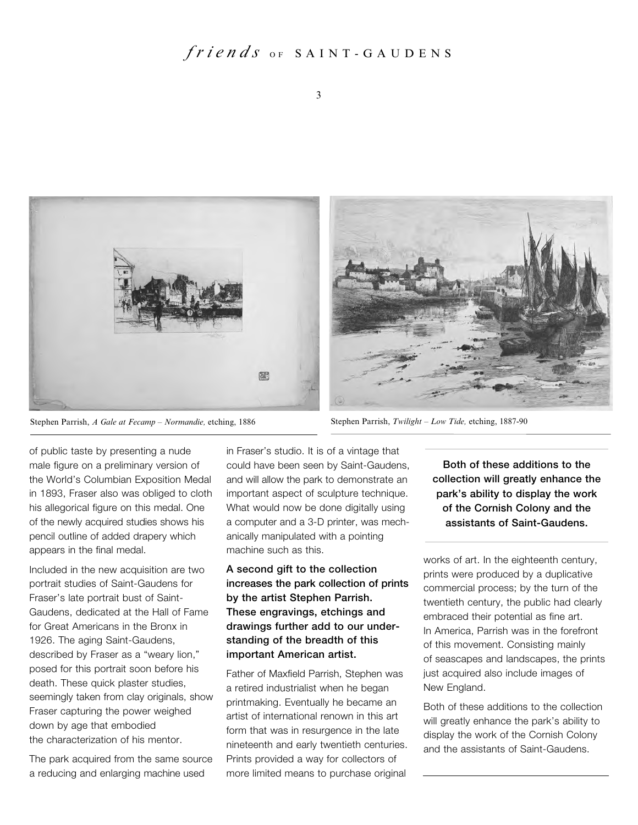# $frien ds$  OF SAINT-GAUDENS



Stephen Parrish, *A Gale at Fecamp – Normandie,* etching, 1886 Stephen Parrish, *Twilight – Low Tide,* etching, 1887-90

of public taste by presenting a nude male figure on a preliminary version of the World's Columbian Exposition Medal in 1893, Fraser also was obliged to cloth his allegorical figure on this medal. One of the newly acquired studies shows his pencil outline of added drapery which appears in the final medal.

Included in the new acquisition are two portrait studies of Saint-Gaudens for Fraser's late portrait bust of Saint-Gaudens, dedicated at the Hall of Fame for Great Americans in the Bronx in 1926. The aging Saint-Gaudens, described by Fraser as a "weary lion," posed for this portrait soon before his death. These quick plaster studies, seemingly taken from clay originals, show Fraser capturing the power weighed down by age that embodied the characterization of his mentor.

The park acquired from the same source a reducing and enlarging machine used

in Fraser's studio. It is of a vintage that could have been seen by Saint-Gaudens, and will allow the park to demonstrate an important aspect of sculpture technique. What would now be done digitally using a computer and a 3-D printer, was mechanically manipulated with a pointing machine such as this.

### **A second gift to the collection increases the park collection of prints by the artist Stephen Parrish. These engravings, etchings and drawings further add to our understanding of the breadth of this important American artist.**

Father of Maxfield Parrish, Stephen was a retired industrialist when he began printmaking. Eventually he became an artist of international renown in this art form that was in resurgence in the late nineteenth and early twentieth centuries. Prints provided a way for collectors of more limited means to purchase original

**Both of these additions to the collection will greatly enhance the park's ability to display the work of the Cornish Colony and the assistants of Saint-Gaudens.** 

works of art. In the eighteenth century, prints were produced by a duplicative commercial process; by the turn of the twentieth century, the public had clearly embraced their potential as fine art. In America, Parrish was in the forefront of this movement. Consisting mainly of seascapes and landscapes, the prints just acquired also include images of New England.

Both of these additions to the collection will greatly enhance the park's ability to display the work of the Cornish Colony and the assistants of Saint-Gaudens.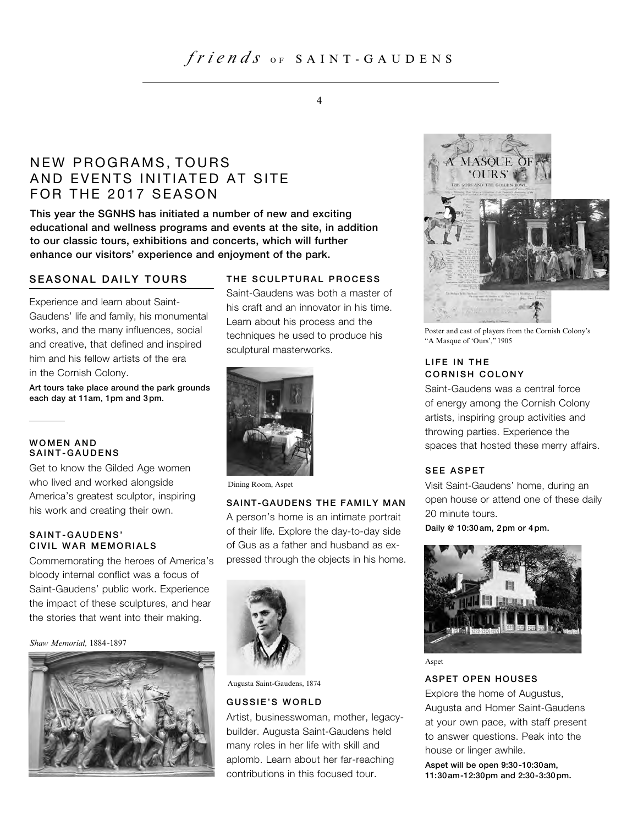# $f$ *r*  $i$  *e*  $n$   $d$   $s$   $\circ$   $F$   $S$   $A$   $I$   $N$   $T$   $\cdot$   $G$   $A$   $U$   $D$   $E$   $N$   $S$

# NEW PROGRAMS, TOURS AND EVENTS INITIATED AT SITE FOR THE 2017 SEASON

**This year the SGNHS has initiated a number of new and exciting educational and wellness programs and events at the site, in addition to our classic tours, exhibitions and concerts, which will further enhance our visitors' experience and enjoyment of the park.**

### **SEASONAL DAILY TOURS**

Experience and learn about Saint-Gaudens' life and family, his monumental works, and the many influences, social and creative, that defined and inspired him and his fellow artists of the era in the Cornish Colony.

**Art tours take place around the park grounds each day at 11am, 1pm and 3pm.** 

#### **W O M E N A N D** SAINT-GAUDENS

Get to know the Gilded Age women who lived and worked alongside America's greatest sculptor, inspiring his work and creating their own.

### SAINT-GAUDENS' **CIVIL WAR MEMORIALS**

Commemorating the heroes of America's bloody internal conflict was a focus of Saint-Gaudens' public work. Experience the impact of these sculptures, and hear the stories that went into their making.

*Shaw Memorial,* 1884-1897



### **THE SCULPTURAL PROCESS**

Saint-Gaudens was both a master of his craft and an innovator in his time. Learn about his process and the techniques he used to produce his sculptural masterworks.



Dining Room, Aspet

#### **SAINT-GAUDENS THE FAMILY MAN**

A person's home is an intimate portrait of their life. Explore the day-to-day side of Gus as a father and husband as expressed through the objects in his home.



Augusta Saint-Gaudens, 1874

#### **GUSSIE'S WORLD**

Artist, businesswoman, mother, legacybuilder. Augusta Saint-Gaudens held many roles in her life with skill and aplomb. Learn about her far-reaching contributions in this focused tour.



Poster and cast of players from the Cornish Colony's "A Masque of 'Ours'," 1905

### **LIFE IN THE CORNISH COLONY**

Saint-Gaudens was a central force of energy among the Cornish Colony artists, inspiring group activities and throwing parties. Experience the spaces that hosted these merry affairs.

### **SEE ASPET**

Visit Saint-Gaudens' home, during an open house or attend one of these daily 20 minute tours.

**Daily @ 10:30am, 2pm or 4pm.**



Aspet

### **ASPET OPEN HOUSES**

Explore the home of Augustus, Augusta and Homer Saint-Gaudens at your own pace, with staff present to answer questions. Peak into the house or linger awhile.

**Aspet will be open 9:30-10:30am, 11:30am-12:30pm and 2:30-3:30pm.**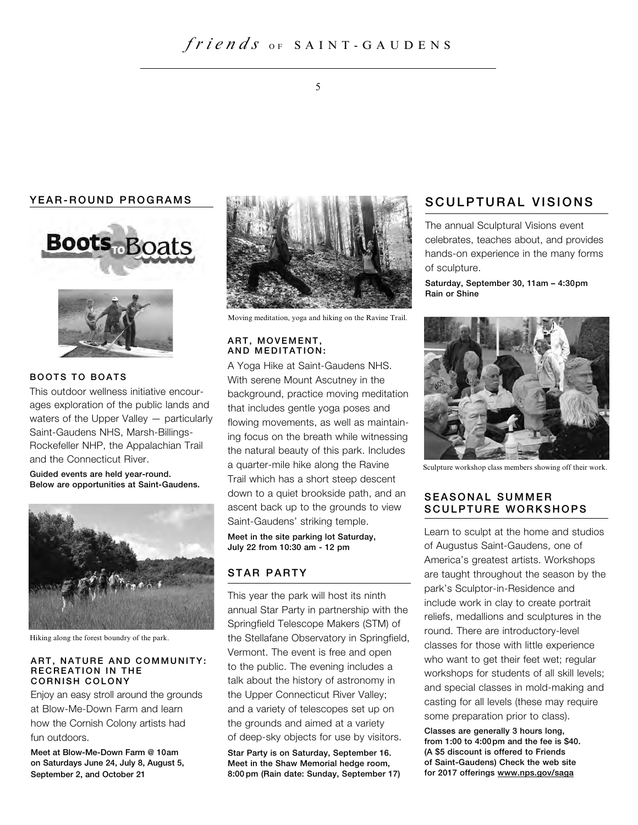# $frien$  *ds*  $o_F$  SAINT - GAUDENS

### YEAR-ROUND PROGRAMS





### **BOOTS TO BOATS**

This outdoor wellness initiative encourages exploration of the public lands and waters of the Upper Valley — particularly Saint-Gaudens NHS, Marsh-Billings-Rockefeller NHP, the Appalachian Trail and the Connecticut River.

**Guided events are held year-round. Below are opportunities at Saint-Gaudens.**



Hiking along the forest boundry of the park.

#### **ART, NATURE AND COMMUNITY: RECREATION IN THE CORNISH COLONY**

Enjoy an easy stroll around the grounds at Blow-Me-Down Farm and learn how the Cornish Colony artists had fun outdoors.

**Meet at Blow-Me-Down Farm @ 10am on Saturdays June 24, July 8, August 5, September 2, and October 21**



Moving meditation, yoga and hiking on the Ravine Trail.

#### **ART. MOVEMENT. AND MEDITATION:**

A Yoga Hike at Saint-Gaudens NHS. With serene Mount Ascutney in the background, practice moving meditation that includes gentle yoga poses and flowing movements, as well as maintaining focus on the breath while witnessing the natural beauty of this park. Includes a quarter-mile hike along the Ravine Trail which has a short steep descent down to a quiet brookside path, and an ascent back up to the grounds to view Saint-Gaudens' striking temple.

**Meet in the site parking lot Saturday, July 22 from 10:30 am - 12 pm**

### **S T A R P A R T Y**

This year the park will host its ninth annual Star Party in partnership with the Springfield Telescope Makers (STM) of the Stellafane Observatory in Springfield, Vermont. The event is free and open to the public. The evening includes a talk about the history of astronomy in the Upper Connecticut River Valley; and a variety of telescopes set up on the grounds and aimed at a variety of deep-sky objects for use by visitors.

**Star Party is on Saturday, September 16. Meet in the Shaw Memorial hedge room, 8:00 pm (Rain date: Sunday, September 17)** 

### **SCULPTURAL VISIONS**

The annual Sculptural Visions event celebrates, teaches about, and provides hands-on experience in the many forms of sculpture.

**Saturday, September 30, 11am – 4:30pm Rain or Shine**



Sculpture workshop class members showing off their work.

### **SEASONAL SUMMER** S CULPTURE WORKSHOPS

Learn to sculpt at the home and studios of Augustus Saint-Gaudens, one of America's greatest artists. Workshops are taught throughout the season by the park's Sculptor-in-Residence and include work in clay to create portrait reliefs, medallions and sculptures in the round. There are introductory-level classes for those with little experience who want to get their feet wet; regular workshops for students of all skill levels; and special classes in mold-making and casting for all levels (these may require some preparation prior to class).

**Classes are generally 3 hours long, from 1:00 to 4:00pm and the fee is \$40. (A \$5 discount is offered to Friends of Saint-Gaudens) Check the web site for 2017 offerings www.nps.gov/saga**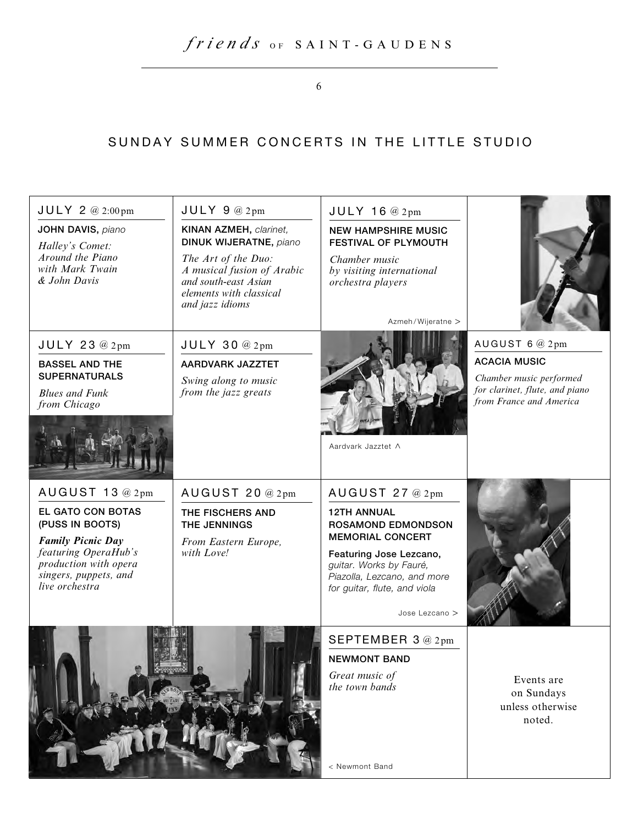6

# SUNDAY SUMMER CONCERTS IN THE LITTLE STUDIO

| $JULY$ 2 @ 2:00pm                                   | $JULY$ 9 @ 2pm                                                                                                          | $JULY$ 16 @ 2pm                                                 |                                                           |
|-----------------------------------------------------|-------------------------------------------------------------------------------------------------------------------------|-----------------------------------------------------------------|-----------------------------------------------------------|
| JOHN DAVIS, piano<br>Halley's Comet:                | <b>KINAN AZMEH, clarinet,</b><br><b>DINUK WIJERATNE, piano</b>                                                          | <b>NEW HAMPSHIRE MUSIC</b><br><b>FESTIVAL OF PLYMOUTH</b>       |                                                           |
| Around the Piano<br>with Mark Twain<br>& John Davis | The Art of the Duo:<br>A musical fusion of Arabic<br>and south-east Asian<br>elements with classical<br>and jazz idioms | Chamber music<br>by visiting international<br>orchestra players |                                                           |
|                                                     |                                                                                                                         | Azmeh/Wijeratne >                                               |                                                           |
| JULY 23 @ 2pm                                       | $JULY$ 30 @ $2pm$                                                                                                       |                                                                 | AUGUST 6 @ 2pm<br><b>ACACIA MUSIC</b>                     |
| <b>BASSEL AND THE</b><br><b>SUPERNATURALS</b>       | <b>AARDVARK JAZZTET</b>                                                                                                 |                                                                 | Chamber music performed                                   |
| <b>Blues and Funk</b><br>from Chicago               | Swing along to music<br>from the jazz greats                                                                            |                                                                 | for clarinet, flute, and piano<br>from France and America |
|                                                     |                                                                                                                         | Aardvark Jazztet A                                              |                                                           |
|                                                     |                                                                                                                         |                                                                 |                                                           |
| AUGUST 13 @ 2pm                                     | AUGUST 20 @ 2pm                                                                                                         | AUGUST 27 @ 2pm                                                 |                                                           |
| EL GATO CON BOTAS<br>(PUSS IN BOOTS)                | THE FISCHERS AND<br>THE JENNINGS                                                                                        | <b>12TH ANNUAL</b><br><b>ROSAMOND EDMONDSON</b>                 |                                                           |
| <b>Family Picnic Day</b>                            | From Eastern Europe,                                                                                                    | <b>MEMORIAL CONCERT</b>                                         |                                                           |
| featuring OperaHub's<br>production with opera       | with Love!                                                                                                              | Featuring Jose Lezcano,<br>guitar. Works by Fauré,              |                                                           |
| singers, puppets, and<br>live orchestra             |                                                                                                                         | Piazolla, Lezcano, and more<br>for guitar, flute, and viola     |                                                           |
|                                                     |                                                                                                                         | Jose Lezcano >                                                  |                                                           |
|                                                     |                                                                                                                         | SEPTEMBER 3@2pm                                                 |                                                           |
|                                                     |                                                                                                                         | <b>NEWMONT BAND</b>                                             |                                                           |
|                                                     |                                                                                                                         | Great music of<br>the town bands                                | Events are                                                |
|                                                     |                                                                                                                         |                                                                 | on Sundays<br>unless otherwise                            |
|                                                     |                                                                                                                         |                                                                 | noted.                                                    |
|                                                     |                                                                                                                         |                                                                 |                                                           |
|                                                     |                                                                                                                         | < Newmont Band                                                  |                                                           |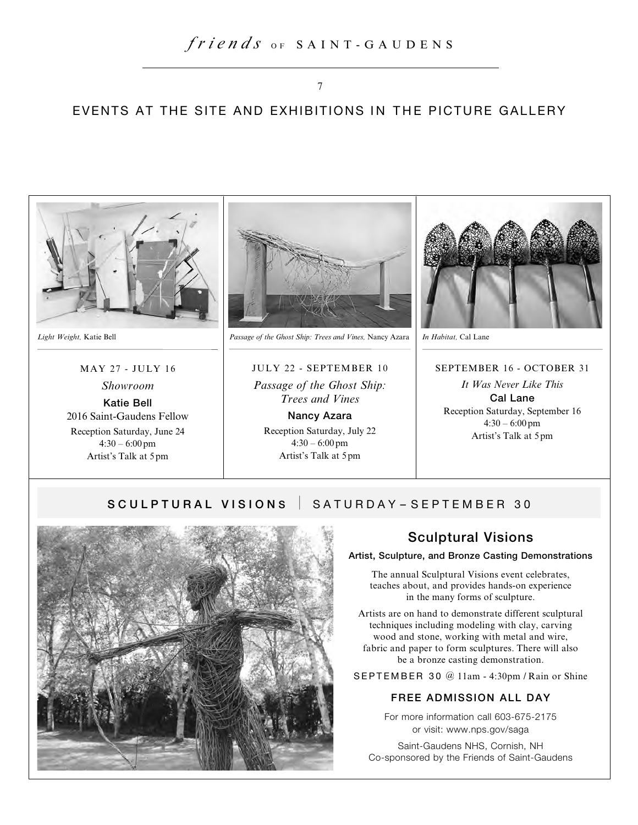### EVENTS AT THE SITE AND EXHIBITIONS IN THE PICTURE GALLERY



### MAY 27 - JULY 16

*Showroom* **Katie Bell** 2016 Saint-Gaudens Fellow

Reception Saturday, June 24  $4:30 - 6:00$  pm Artist's Talk at 5pm



*Light Weight,* Katie Bell *Passage of the Ghost Ship: Trees and Vines,* Nancy Azara *In Habitat,* Cal Lane

JULY 22 - SEPTEMBER 10 *Passage of the Ghost Ship: Trees and Vines* **Nancy Azara** Reception Saturday, July 22  $4:30 - 6:00$  pm Artist's Talk at 5pm



#### SEPTEMBER 16 - OCTOBER 31

*It Was Never Like This* **Cal Lane** Reception Saturday, September 16  $4:30 - 6:00$  pm Artist's Talk at 5pm

### SCULPTURAL VISIONS | SATURDAY-SEPTEMBER 30



### **Sculptural Visions**

**Artist, Sculpture, and Bronze Casting Demonstrations**

The annual Sculptural Visions event celebrates, teaches about, and provides hands-on experience in the many forms of sculpture.

Artists are on hand to demonstrate different sculptural techniques including modeling with clay, carving wood and stone, working with metal and wire, fabric and paper to form sculptures. There will also be a bronze casting demonstration.

SEPTEMBER 30 @ 11am - 4:30pm / Rain or Shine

### **FREE ADMISSION ALL DAY**

For more information call 603-675-2175 or visit: www.nps.gov/saga

Saint-Gaudens NHS, Cornish, NH Co-sponsored by the Friends of Saint-Gaudens